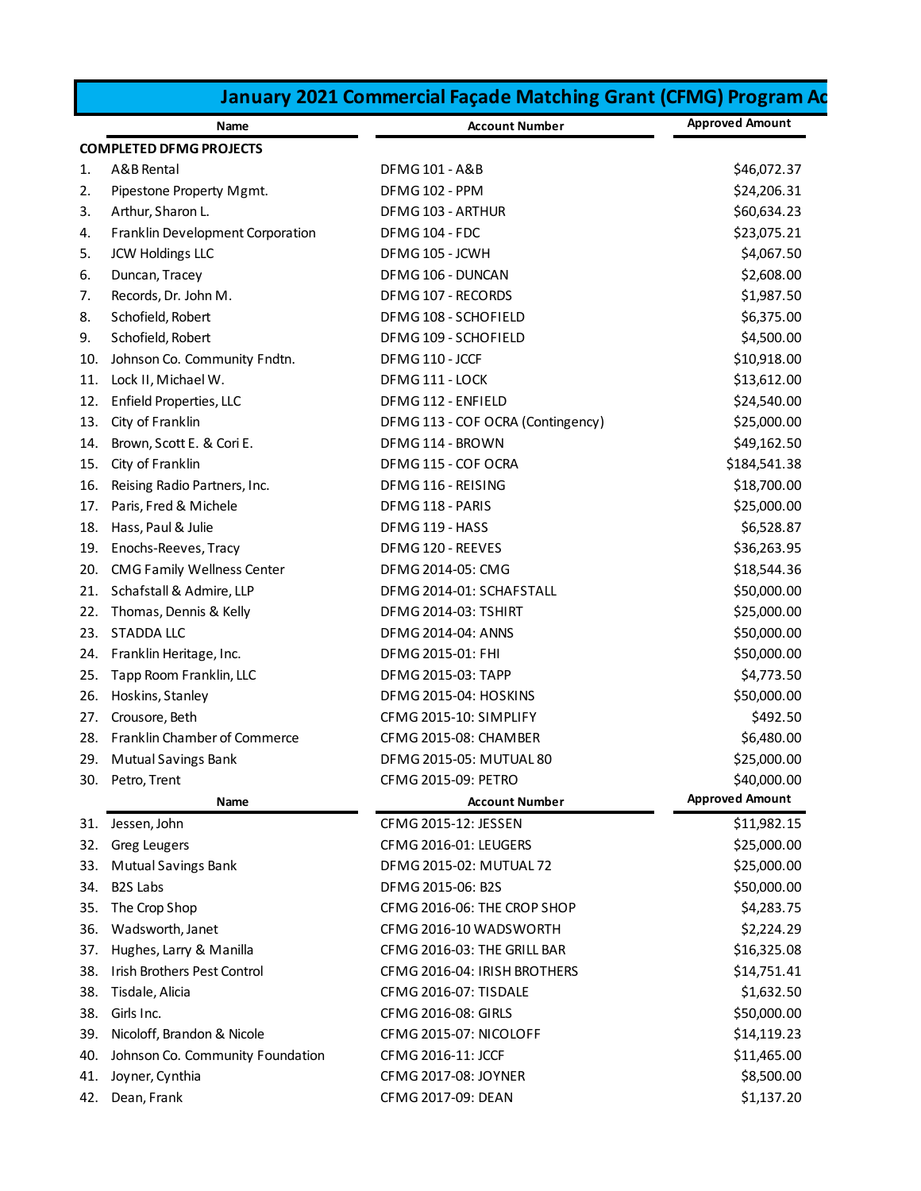| January 2021 Commercial Façade Matching Grant (CFMG) Program Ac |                                  |                                   |                        |
|-----------------------------------------------------------------|----------------------------------|-----------------------------------|------------------------|
|                                                                 | Name                             | <b>Account Number</b>             | <b>Approved Amount</b> |
| <b>COMPLETED DFMG PROJECTS</b>                                  |                                  |                                   |                        |
| A&B Rental<br>1.                                                |                                  | <b>DFMG 101 - A&amp;B</b>         | \$46,072.37            |
| 2.<br>Pipestone Property Mgmt.                                  |                                  | DFMG 102 - PPM                    | \$24,206.31            |
| Arthur, Sharon L.<br>3.                                         |                                  | DFMG 103 - ARTHUR                 | \$60,634.23            |
| Franklin Development Corporation<br>4.                          |                                  | DFMG 104 - FDC                    | \$23,075.21            |
| <b>JCW Holdings LLC</b><br>5.                                   |                                  | DFMG 105 - JCWH                   | \$4,067.50             |
| Duncan, Tracey<br>6.                                            |                                  | DFMG 106 - DUNCAN                 | \$2,608.00             |
| Records, Dr. John M.<br>7.                                      |                                  | DFMG 107 - RECORDS                | \$1,987.50             |
| 8.<br>Schofield, Robert                                         |                                  | DFMG 108 - SCHOFIELD              | \$6,375.00             |
| 9.<br>Schofield, Robert                                         |                                  | DFMG 109 - SCHOFIELD              | \$4,500.00             |
| Johnson Co. Community Fndtn.<br>10.                             |                                  | DFMG 110 - JCCF                   | \$10,918.00            |
| Lock II, Michael W.<br>11.                                      |                                  | DFMG 111 - LOCK                   | \$13,612.00            |
| Enfield Properties, LLC<br>12.                                  |                                  | DFMG 112 - ENFIELD                | \$24,540.00            |
| City of Franklin<br>13.                                         |                                  | DFMG 113 - COF OCRA (Contingency) | \$25,000.00            |
| Brown, Scott E. & Cori E.<br>14.                                |                                  | DFMG 114 - BROWN                  | \$49,162.50            |
| City of Franklin<br>15.                                         |                                  | DFMG 115 - COF OCRA               | \$184,541.38           |
| Reising Radio Partners, Inc.<br>16.                             |                                  | DFMG 116 - REISING                | \$18,700.00            |
| Paris, Fred & Michele<br>17.                                    |                                  | DFMG 118 - PARIS                  | \$25,000.00            |
| Hass, Paul & Julie<br>18.                                       |                                  | DFMG 119 - HASS                   | \$6,528.87             |
| Enochs-Reeves, Tracy<br>19.                                     |                                  | DFMG 120 - REEVES                 | \$36,263.95            |
| <b>CMG Family Wellness Center</b><br>20.                        |                                  | DFMG 2014-05: CMG                 | \$18,544.36            |
| Schafstall & Admire, LLP<br>21.                                 |                                  | DFMG 2014-01: SCHAFSTALL          | \$50,000.00            |
| Thomas, Dennis & Kelly<br>22.                                   |                                  | <b>DFMG 2014-03: TSHIRT</b>       | \$25,000.00            |
| <b>STADDA LLC</b><br>23.                                        |                                  | DFMG 2014-04: ANNS                | \$50,000.00            |
| Franklin Heritage, Inc.<br>24.                                  |                                  | DFMG 2015-01: FHI                 | \$50,000.00            |
| Tapp Room Franklin, LLC<br>25.                                  |                                  | DFMG 2015-03: TAPP                | \$4,773.50             |
| Hoskins, Stanley<br>26.                                         |                                  | DFMG 2015-04: HOSKINS             | \$50,000.00            |
| Crousore, Beth<br>27.                                           |                                  | CFMG 2015-10: SIMPLIFY            | \$492.50               |
| 28. Franklin Chamber of Commerce                                |                                  | CFMG 2015-08: CHAMBER             | \$6,480.00             |
| 29.<br><b>Mutual Savings Bank</b>                               |                                  | DFMG 2015-05: MUTUAL 80           | \$25,000.00            |
| 30. Petro, Trent                                                |                                  | CFMG 2015-09: PETRO               | \$40,000.00            |
|                                                                 | Name                             | <b>Account Number</b>             | <b>Approved Amount</b> |
| 31. Jessen, John                                                |                                  | CFMG 2015-12: JESSEN              | \$11,982.15            |
| <b>Greg Leugers</b><br>32.                                      |                                  | CFMG 2016-01: LEUGERS             | \$25,000.00            |
| <b>Mutual Savings Bank</b><br>33.                               |                                  | DFMG 2015-02: MUTUAL 72           | \$25,000.00            |
| <b>B2S Labs</b><br>34.                                          |                                  | DFMG 2015-06: B2S                 | \$50,000.00            |
| The Crop Shop<br>35.                                            |                                  | CFMG 2016-06: THE CROP SHOP       | \$4,283.75             |
| Wadsworth, Janet<br>36.                                         |                                  | CFMG 2016-10 WADSWORTH            | \$2,224.29             |
| Hughes, Larry & Manilla<br>37.                                  |                                  | CFMG 2016-03: THE GRILL BAR       | \$16,325.08            |
| Irish Brothers Pest Control<br>38.                              |                                  | CFMG 2016-04: IRISH BROTHERS      | \$14,751.41            |
| Tisdale, Alicia<br>38.                                          |                                  | CFMG 2016-07: TISDALE             | \$1,632.50             |
| Girls Inc.<br>38.                                               |                                  | CFMG 2016-08: GIRLS               | \$50,000.00            |
| Nicoloff, Brandon & Nicole<br>39.                               |                                  | CFMG 2015-07: NICOLOFF            | \$14,119.23            |
| 40.                                                             | Johnson Co. Community Foundation | CFMG 2016-11: JCCF                | \$11,465.00            |
| Joyner, Cynthia<br>41.                                          |                                  | CFMG 2017-08: JOYNER              | \$8,500.00             |
| 42. Dean, Frank                                                 |                                  | CFMG 2017-09: DEAN                | \$1,137.20             |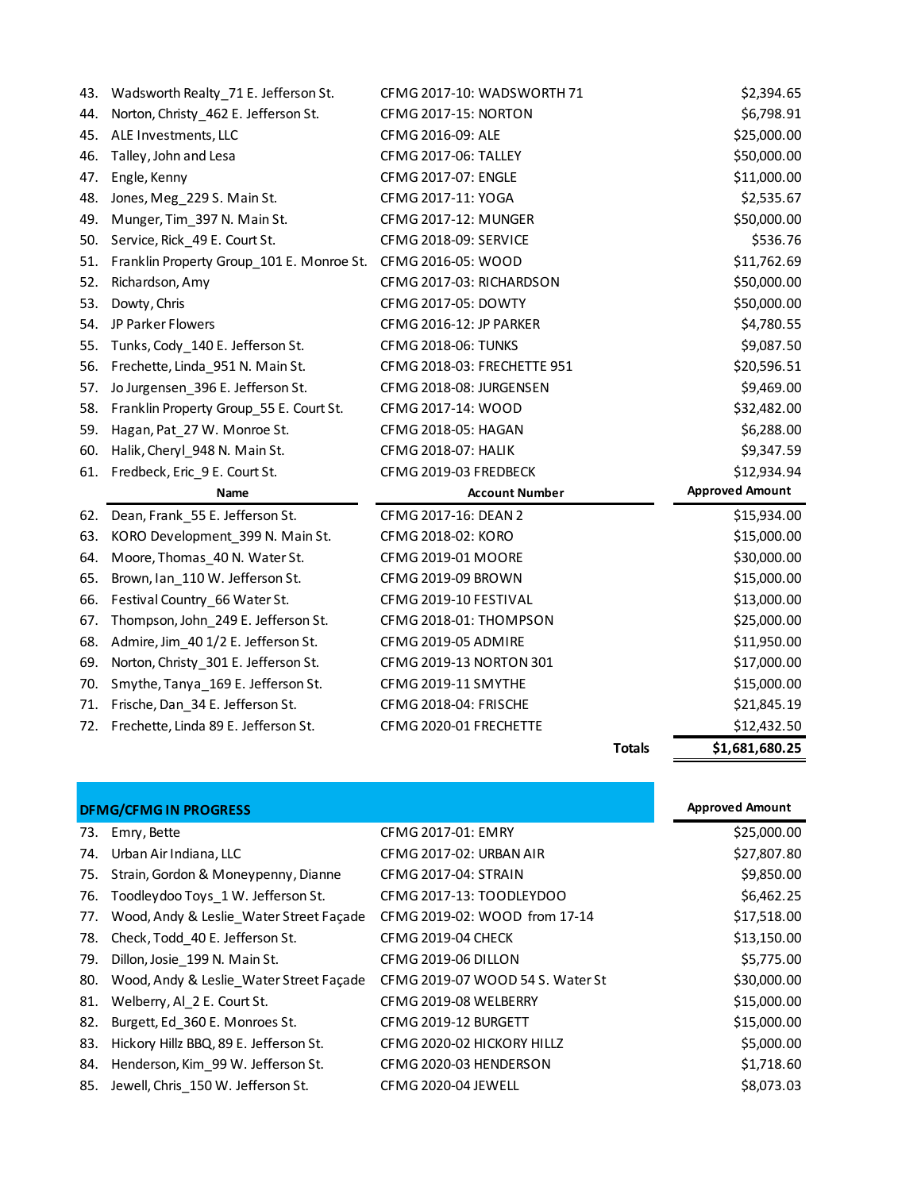| Norton, Christy_462 E. Jefferson St.<br>\$6,798.91<br>44.<br><b>CFMG 2017-15: NORTON</b><br>\$25,000.00<br>45.<br>ALE Investments, LLC<br>CFMG 2016-09: ALE<br>Talley, John and Lesa<br>\$50,000.00<br>46.<br><b>CFMG 2017-06: TALLEY</b><br>CFMG 2017-07: ENGLE<br>\$11,000.00<br>47.<br>Engle, Kenny<br>CFMG 2017-11: YOGA<br>\$2,535.67<br>Jones, Meg_229 S. Main St.<br>48.<br>\$50,000.00<br>49.<br>Munger, Tim_397 N. Main St.<br>CFMG 2017-12: MUNGER<br>\$536.76<br>Service, Rick 49 E. Court St.<br>CFMG 2018-09: SERVICE<br>50.<br>\$11,762.69<br>Franklin Property Group 101 E. Monroe St.<br>CFMG 2016-05: WOOD<br>51.<br>\$50,000.00<br>52.<br>Richardson, Amy<br>CFMG 2017-03: RICHARDSON<br>\$50,000.00<br>53.<br>Dowty, Chris<br>CFMG 2017-05: DOWTY<br>JP Parker Flowers<br>\$4,780.55<br>CFMG 2016-12: JP PARKER<br>54.<br>\$9,087.50<br>55.<br>Tunks, Cody_140 E. Jefferson St.<br><b>CFMG 2018-06: TUNKS</b><br>Frechette, Linda_951 N. Main St.<br>\$20,596.51<br>56.<br>CFMG 2018-03: FRECHETTE 951<br>Jo Jurgensen_396 E. Jefferson St.<br>CFMG 2018-08: JURGENSEN<br>\$9,469.00<br>57.<br>Franklin Property Group_55 E. Court St.<br>\$32,482.00<br>58.<br>CFMG 2017-14: WOOD<br>\$6,288.00<br>CFMG 2018-05: HAGAN<br>59.<br>Hagan, Pat_27 W. Monroe St.<br>\$9,347.59<br>Halik, Cheryl 948 N. Main St.<br>CFMG 2018-07: HALIK<br>60.<br>\$12,934.94<br>Fredbeck, Eric 9 E. Court St.<br>CFMG 2019-03 FREDBECK<br>61.<br><b>Approved Amount</b><br><b>Account Number</b><br>Name<br>Dean, Frank 55 E. Jefferson St.<br>CFMG 2017-16: DEAN 2<br>\$15,934.00<br>62.<br>63.<br>KORO Development_399 N. Main St.<br>CFMG 2018-02: KORO<br>\$15,000.00<br>\$30,000.00<br>Moore, Thomas_40 N. Water St.<br>CFMG 2019-01 MOORE<br>64.<br>Brown, Ian 110 W. Jefferson St.<br>CFMG 2019-09 BROWN<br>\$15,000.00<br>65.<br>66.<br>Festival Country_66 Water St.<br>CFMG 2019-10 FESTIVAL<br>\$13,000.00<br>Thompson, John_249 E. Jefferson St.<br>CFMG 2018-01: THOMPSON<br>\$25,000.00<br>67.<br>Admire, Jim_40 1/2 E. Jefferson St.<br>CFMG 2019-05 ADMIRE<br>\$11,950.00<br>68.<br>Norton, Christy_301 E. Jefferson St.<br>CFMG 2019-13 NORTON 301<br>\$17,000.00<br>69.<br>Smythe, Tanya_169 E. Jefferson St.<br>CFMG 2019-11 SMYTHE<br>\$15,000.00<br>70.<br>\$21,845.19<br>Frische, Dan_34 E. Jefferson St.<br>CFMG 2018-04: FRISCHE<br>71.<br>Frechette, Linda 89 E. Jefferson St.<br>\$12,432.50<br>CFMG 2020-01 FRECHETTE<br>72.<br>\$1,681,680.25<br><b>Totals</b> | 43. | Wadsworth Realty_71 E. Jefferson St. | CFMG 2017-10: WADSWORTH 71 | \$2,394.65 |
|--------------------------------------------------------------------------------------------------------------------------------------------------------------------------------------------------------------------------------------------------------------------------------------------------------------------------------------------------------------------------------------------------------------------------------------------------------------------------------------------------------------------------------------------------------------------------------------------------------------------------------------------------------------------------------------------------------------------------------------------------------------------------------------------------------------------------------------------------------------------------------------------------------------------------------------------------------------------------------------------------------------------------------------------------------------------------------------------------------------------------------------------------------------------------------------------------------------------------------------------------------------------------------------------------------------------------------------------------------------------------------------------------------------------------------------------------------------------------------------------------------------------------------------------------------------------------------------------------------------------------------------------------------------------------------------------------------------------------------------------------------------------------------------------------------------------------------------------------------------------------------------------------------------------------------------------------------------------------------------------------------------------------------------------------------------------------------------------------------------------------------------------------------------------------------------------------------------------------------------------------------------------------------------------------------------------------------------------------------------------------------------------------------------------------------------------------------------------------------------------|-----|--------------------------------------|----------------------------|------------|
|                                                                                                                                                                                                                                                                                                                                                                                                                                                                                                                                                                                                                                                                                                                                                                                                                                                                                                                                                                                                                                                                                                                                                                                                                                                                                                                                                                                                                                                                                                                                                                                                                                                                                                                                                                                                                                                                                                                                                                                                                                                                                                                                                                                                                                                                                                                                                                                                                                                                                            |     |                                      |                            |            |
|                                                                                                                                                                                                                                                                                                                                                                                                                                                                                                                                                                                                                                                                                                                                                                                                                                                                                                                                                                                                                                                                                                                                                                                                                                                                                                                                                                                                                                                                                                                                                                                                                                                                                                                                                                                                                                                                                                                                                                                                                                                                                                                                                                                                                                                                                                                                                                                                                                                                                            |     |                                      |                            |            |
|                                                                                                                                                                                                                                                                                                                                                                                                                                                                                                                                                                                                                                                                                                                                                                                                                                                                                                                                                                                                                                                                                                                                                                                                                                                                                                                                                                                                                                                                                                                                                                                                                                                                                                                                                                                                                                                                                                                                                                                                                                                                                                                                                                                                                                                                                                                                                                                                                                                                                            |     |                                      |                            |            |
|                                                                                                                                                                                                                                                                                                                                                                                                                                                                                                                                                                                                                                                                                                                                                                                                                                                                                                                                                                                                                                                                                                                                                                                                                                                                                                                                                                                                                                                                                                                                                                                                                                                                                                                                                                                                                                                                                                                                                                                                                                                                                                                                                                                                                                                                                                                                                                                                                                                                                            |     |                                      |                            |            |
|                                                                                                                                                                                                                                                                                                                                                                                                                                                                                                                                                                                                                                                                                                                                                                                                                                                                                                                                                                                                                                                                                                                                                                                                                                                                                                                                                                                                                                                                                                                                                                                                                                                                                                                                                                                                                                                                                                                                                                                                                                                                                                                                                                                                                                                                                                                                                                                                                                                                                            |     |                                      |                            |            |
|                                                                                                                                                                                                                                                                                                                                                                                                                                                                                                                                                                                                                                                                                                                                                                                                                                                                                                                                                                                                                                                                                                                                                                                                                                                                                                                                                                                                                                                                                                                                                                                                                                                                                                                                                                                                                                                                                                                                                                                                                                                                                                                                                                                                                                                                                                                                                                                                                                                                                            |     |                                      |                            |            |
|                                                                                                                                                                                                                                                                                                                                                                                                                                                                                                                                                                                                                                                                                                                                                                                                                                                                                                                                                                                                                                                                                                                                                                                                                                                                                                                                                                                                                                                                                                                                                                                                                                                                                                                                                                                                                                                                                                                                                                                                                                                                                                                                                                                                                                                                                                                                                                                                                                                                                            |     |                                      |                            |            |
|                                                                                                                                                                                                                                                                                                                                                                                                                                                                                                                                                                                                                                                                                                                                                                                                                                                                                                                                                                                                                                                                                                                                                                                                                                                                                                                                                                                                                                                                                                                                                                                                                                                                                                                                                                                                                                                                                                                                                                                                                                                                                                                                                                                                                                                                                                                                                                                                                                                                                            |     |                                      |                            |            |
|                                                                                                                                                                                                                                                                                                                                                                                                                                                                                                                                                                                                                                                                                                                                                                                                                                                                                                                                                                                                                                                                                                                                                                                                                                                                                                                                                                                                                                                                                                                                                                                                                                                                                                                                                                                                                                                                                                                                                                                                                                                                                                                                                                                                                                                                                                                                                                                                                                                                                            |     |                                      |                            |            |
|                                                                                                                                                                                                                                                                                                                                                                                                                                                                                                                                                                                                                                                                                                                                                                                                                                                                                                                                                                                                                                                                                                                                                                                                                                                                                                                                                                                                                                                                                                                                                                                                                                                                                                                                                                                                                                                                                                                                                                                                                                                                                                                                                                                                                                                                                                                                                                                                                                                                                            |     |                                      |                            |            |
|                                                                                                                                                                                                                                                                                                                                                                                                                                                                                                                                                                                                                                                                                                                                                                                                                                                                                                                                                                                                                                                                                                                                                                                                                                                                                                                                                                                                                                                                                                                                                                                                                                                                                                                                                                                                                                                                                                                                                                                                                                                                                                                                                                                                                                                                                                                                                                                                                                                                                            |     |                                      |                            |            |
|                                                                                                                                                                                                                                                                                                                                                                                                                                                                                                                                                                                                                                                                                                                                                                                                                                                                                                                                                                                                                                                                                                                                                                                                                                                                                                                                                                                                                                                                                                                                                                                                                                                                                                                                                                                                                                                                                                                                                                                                                                                                                                                                                                                                                                                                                                                                                                                                                                                                                            |     |                                      |                            |            |
|                                                                                                                                                                                                                                                                                                                                                                                                                                                                                                                                                                                                                                                                                                                                                                                                                                                                                                                                                                                                                                                                                                                                                                                                                                                                                                                                                                                                                                                                                                                                                                                                                                                                                                                                                                                                                                                                                                                                                                                                                                                                                                                                                                                                                                                                                                                                                                                                                                                                                            |     |                                      |                            |            |
|                                                                                                                                                                                                                                                                                                                                                                                                                                                                                                                                                                                                                                                                                                                                                                                                                                                                                                                                                                                                                                                                                                                                                                                                                                                                                                                                                                                                                                                                                                                                                                                                                                                                                                                                                                                                                                                                                                                                                                                                                                                                                                                                                                                                                                                                                                                                                                                                                                                                                            |     |                                      |                            |            |
|                                                                                                                                                                                                                                                                                                                                                                                                                                                                                                                                                                                                                                                                                                                                                                                                                                                                                                                                                                                                                                                                                                                                                                                                                                                                                                                                                                                                                                                                                                                                                                                                                                                                                                                                                                                                                                                                                                                                                                                                                                                                                                                                                                                                                                                                                                                                                                                                                                                                                            |     |                                      |                            |            |
|                                                                                                                                                                                                                                                                                                                                                                                                                                                                                                                                                                                                                                                                                                                                                                                                                                                                                                                                                                                                                                                                                                                                                                                                                                                                                                                                                                                                                                                                                                                                                                                                                                                                                                                                                                                                                                                                                                                                                                                                                                                                                                                                                                                                                                                                                                                                                                                                                                                                                            |     |                                      |                            |            |
|                                                                                                                                                                                                                                                                                                                                                                                                                                                                                                                                                                                                                                                                                                                                                                                                                                                                                                                                                                                                                                                                                                                                                                                                                                                                                                                                                                                                                                                                                                                                                                                                                                                                                                                                                                                                                                                                                                                                                                                                                                                                                                                                                                                                                                                                                                                                                                                                                                                                                            |     |                                      |                            |            |
|                                                                                                                                                                                                                                                                                                                                                                                                                                                                                                                                                                                                                                                                                                                                                                                                                                                                                                                                                                                                                                                                                                                                                                                                                                                                                                                                                                                                                                                                                                                                                                                                                                                                                                                                                                                                                                                                                                                                                                                                                                                                                                                                                                                                                                                                                                                                                                                                                                                                                            |     |                                      |                            |            |
|                                                                                                                                                                                                                                                                                                                                                                                                                                                                                                                                                                                                                                                                                                                                                                                                                                                                                                                                                                                                                                                                                                                                                                                                                                                                                                                                                                                                                                                                                                                                                                                                                                                                                                                                                                                                                                                                                                                                                                                                                                                                                                                                                                                                                                                                                                                                                                                                                                                                                            |     |                                      |                            |            |
|                                                                                                                                                                                                                                                                                                                                                                                                                                                                                                                                                                                                                                                                                                                                                                                                                                                                                                                                                                                                                                                                                                                                                                                                                                                                                                                                                                                                                                                                                                                                                                                                                                                                                                                                                                                                                                                                                                                                                                                                                                                                                                                                                                                                                                                                                                                                                                                                                                                                                            |     |                                      |                            |            |
|                                                                                                                                                                                                                                                                                                                                                                                                                                                                                                                                                                                                                                                                                                                                                                                                                                                                                                                                                                                                                                                                                                                                                                                                                                                                                                                                                                                                                                                                                                                                                                                                                                                                                                                                                                                                                                                                                                                                                                                                                                                                                                                                                                                                                                                                                                                                                                                                                                                                                            |     |                                      |                            |            |
|                                                                                                                                                                                                                                                                                                                                                                                                                                                                                                                                                                                                                                                                                                                                                                                                                                                                                                                                                                                                                                                                                                                                                                                                                                                                                                                                                                                                                                                                                                                                                                                                                                                                                                                                                                                                                                                                                                                                                                                                                                                                                                                                                                                                                                                                                                                                                                                                                                                                                            |     |                                      |                            |            |
|                                                                                                                                                                                                                                                                                                                                                                                                                                                                                                                                                                                                                                                                                                                                                                                                                                                                                                                                                                                                                                                                                                                                                                                                                                                                                                                                                                                                                                                                                                                                                                                                                                                                                                                                                                                                                                                                                                                                                                                                                                                                                                                                                                                                                                                                                                                                                                                                                                                                                            |     |                                      |                            |            |
|                                                                                                                                                                                                                                                                                                                                                                                                                                                                                                                                                                                                                                                                                                                                                                                                                                                                                                                                                                                                                                                                                                                                                                                                                                                                                                                                                                                                                                                                                                                                                                                                                                                                                                                                                                                                                                                                                                                                                                                                                                                                                                                                                                                                                                                                                                                                                                                                                                                                                            |     |                                      |                            |            |
|                                                                                                                                                                                                                                                                                                                                                                                                                                                                                                                                                                                                                                                                                                                                                                                                                                                                                                                                                                                                                                                                                                                                                                                                                                                                                                                                                                                                                                                                                                                                                                                                                                                                                                                                                                                                                                                                                                                                                                                                                                                                                                                                                                                                                                                                                                                                                                                                                                                                                            |     |                                      |                            |            |
|                                                                                                                                                                                                                                                                                                                                                                                                                                                                                                                                                                                                                                                                                                                                                                                                                                                                                                                                                                                                                                                                                                                                                                                                                                                                                                                                                                                                                                                                                                                                                                                                                                                                                                                                                                                                                                                                                                                                                                                                                                                                                                                                                                                                                                                                                                                                                                                                                                                                                            |     |                                      |                            |            |
|                                                                                                                                                                                                                                                                                                                                                                                                                                                                                                                                                                                                                                                                                                                                                                                                                                                                                                                                                                                                                                                                                                                                                                                                                                                                                                                                                                                                                                                                                                                                                                                                                                                                                                                                                                                                                                                                                                                                                                                                                                                                                                                                                                                                                                                                                                                                                                                                                                                                                            |     |                                      |                            |            |
|                                                                                                                                                                                                                                                                                                                                                                                                                                                                                                                                                                                                                                                                                                                                                                                                                                                                                                                                                                                                                                                                                                                                                                                                                                                                                                                                                                                                                                                                                                                                                                                                                                                                                                                                                                                                                                                                                                                                                                                                                                                                                                                                                                                                                                                                                                                                                                                                                                                                                            |     |                                      |                            |            |
|                                                                                                                                                                                                                                                                                                                                                                                                                                                                                                                                                                                                                                                                                                                                                                                                                                                                                                                                                                                                                                                                                                                                                                                                                                                                                                                                                                                                                                                                                                                                                                                                                                                                                                                                                                                                                                                                                                                                                                                                                                                                                                                                                                                                                                                                                                                                                                                                                                                                                            |     |                                      |                            |            |
|                                                                                                                                                                                                                                                                                                                                                                                                                                                                                                                                                                                                                                                                                                                                                                                                                                                                                                                                                                                                                                                                                                                                                                                                                                                                                                                                                                                                                                                                                                                                                                                                                                                                                                                                                                                                                                                                                                                                                                                                                                                                                                                                                                                                                                                                                                                                                                                                                                                                                            |     |                                      |                            |            |
|                                                                                                                                                                                                                                                                                                                                                                                                                                                                                                                                                                                                                                                                                                                                                                                                                                                                                                                                                                                                                                                                                                                                                                                                                                                                                                                                                                                                                                                                                                                                                                                                                                                                                                                                                                                                                                                                                                                                                                                                                                                                                                                                                                                                                                                                                                                                                                                                                                                                                            |     |                                      |                            |            |

| <b>DFMG/CFMG IN PROGRESS</b>                | <b>Approved Amount</b>           |             |
|---------------------------------------------|----------------------------------|-------------|
| 73. Emry, Bette                             | CFMG 2017-01: EMRY               | \$25,000.00 |
| 74. Urban Air Indiana, LLC                  | CFMG 2017-02: URBAN AIR          | \$27,807.80 |
| 75. Strain, Gordon & Moneypenny, Dianne     | CFMG 2017-04: STRAIN             | \$9,850.00  |
| 76. Toodleydoo Toys_1 W. Jefferson St.      | CFMG 2017-13: TOODLEYDOO         | \$6,462.25  |
| 77. Wood, Andy & Leslie_Water Street Façade | CFMG 2019-02: WOOD from 17-14    | \$17,518.00 |
| 78. Check, Todd 40 E. Jefferson St.         | <b>CFMG 2019-04 CHECK</b>        | \$13,150.00 |
| 79. Dillon, Josie 199 N. Main St.           | CFMG 2019-06 DILLON              | \$5,775.00  |
| 80. Wood, Andy & Leslie Water Street Façade | CFMG 2019-07 WOOD 54 S. Water St | \$30,000.00 |
| 81. Welberry, Al 2 E. Court St.             | CFMG 2019-08 WELBERRY            | \$15,000.00 |
| 82. Burgett, Ed_360 E. Monroes St.          | CFMG 2019-12 BURGETT             | \$15,000.00 |
| 83. Hickory Hillz BBQ, 89 E. Jefferson St.  | CFMG 2020-02 HICKORY HILLZ       | \$5,000.00  |
| 84. Henderson, Kim_99 W. Jefferson St.      | CFMG 2020-03 HENDERSON           | \$1,718.60  |
| 85. Jewell, Chris 150 W. Jefferson St.      | CFMG 2020-04 JEWELL              | \$8,073.03  |
|                                             |                                  |             |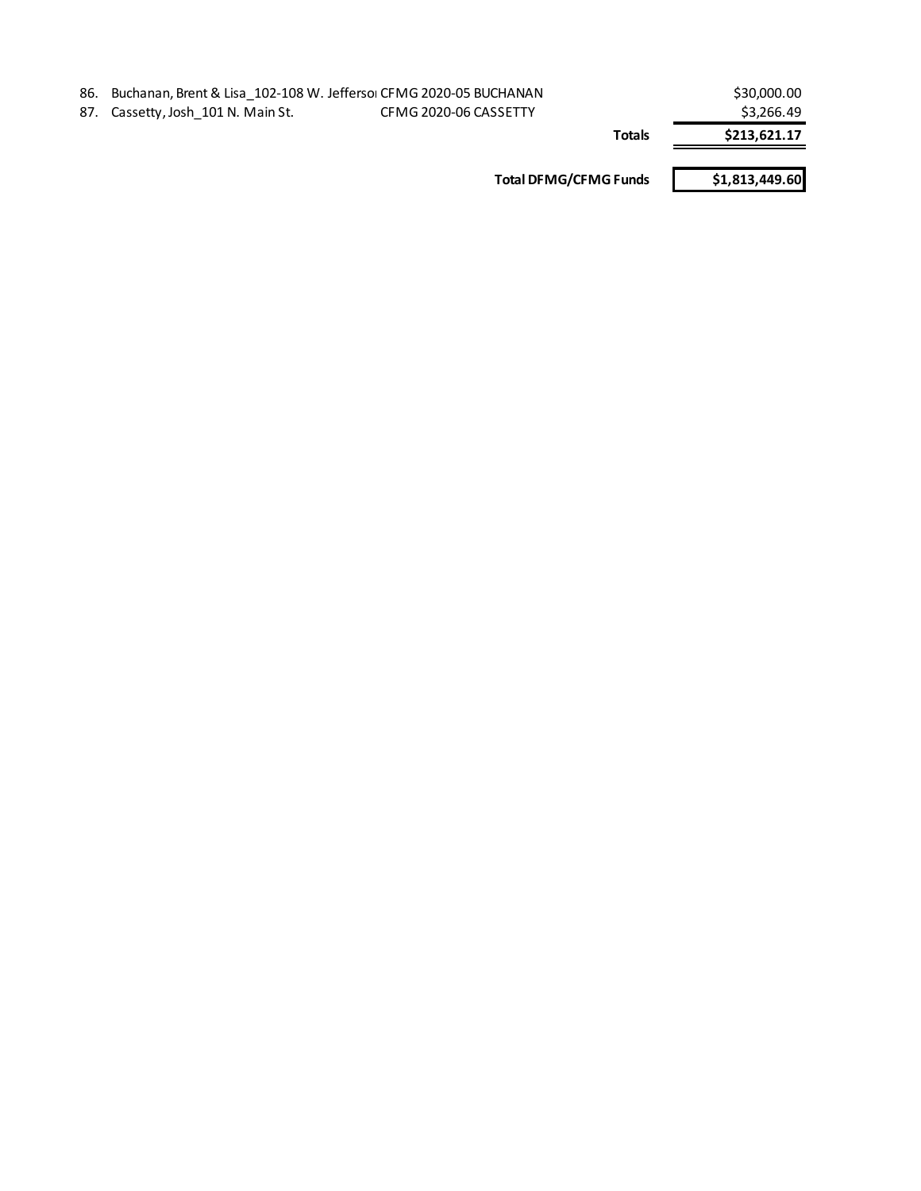| 86. Buchanan, Brent & Lisa 102-108 W. Jeffersol CFMG 2020-05 BUCHANAN |                              | \$30,000.00    |
|-----------------------------------------------------------------------|------------------------------|----------------|
| 87. Cassetty, Josh 101 N. Main St.                                    | CFMG 2020-06 CASSETTY        | \$3,266.49     |
|                                                                       | <b>Totals</b>                | \$213,621.17   |
|                                                                       | <b>Total DFMG/CFMG Funds</b> | \$1,813,449.60 |
|                                                                       |                              |                |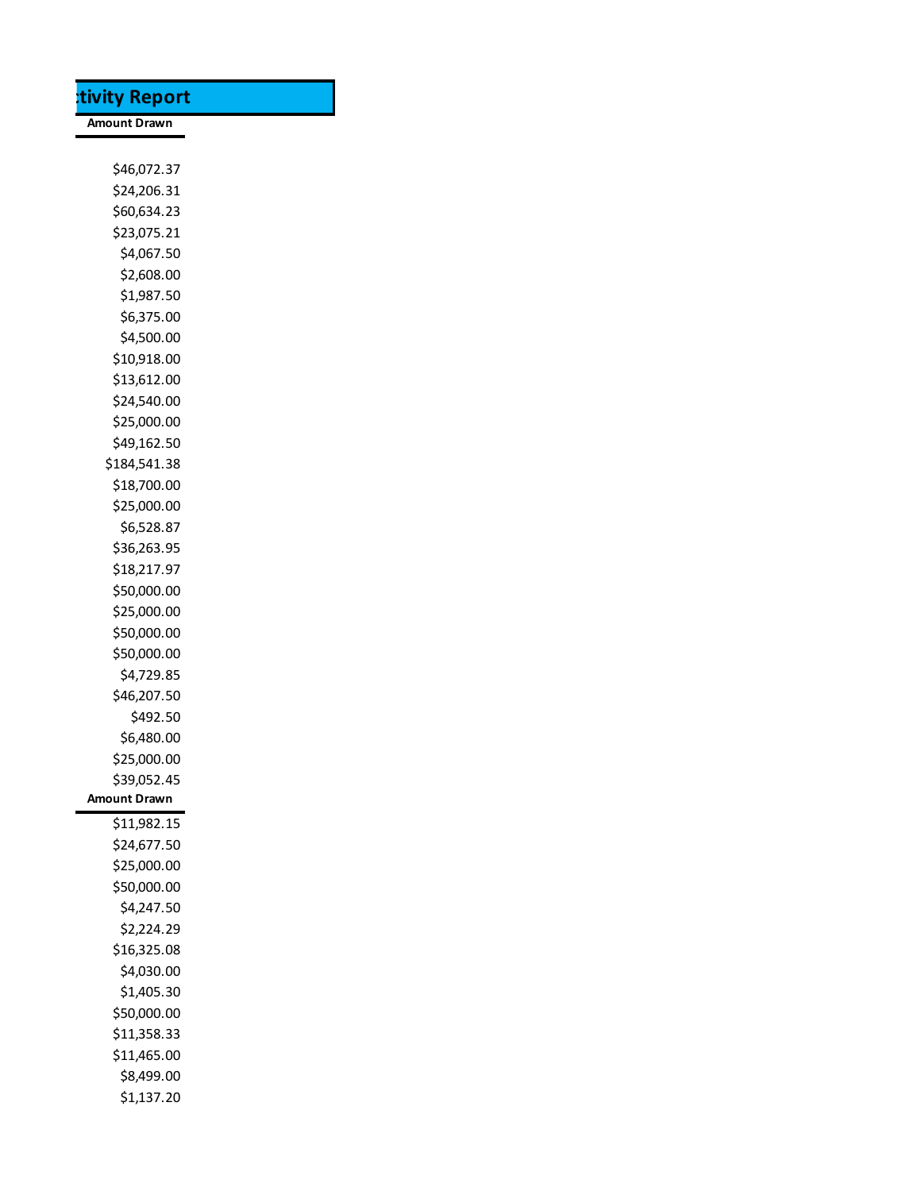| tivity Report       |
|---------------------|
| <b>Amount Drawn</b> |
|                     |
| \$46,072.37         |
| \$24,206.31         |
| \$60,634.23         |
| \$23,075.21         |
| \$4,067.50          |
| \$2,608.00          |
| \$1,987.50          |
| \$6,375.00          |
| \$4,500.00          |
| \$10,918.00         |
| \$13,612.00         |
| \$24,540.00         |
| \$25,000.00         |
| \$49,162.50         |
| \$184,541.38        |
| \$18,700.00         |
| \$25,000.00         |
| \$6,528.87          |
| \$36,263.95         |
| \$18,217.97         |
| \$50,000.00         |
| \$25,000.00         |
| \$50,000.00         |
| \$50,000.00         |
| \$4,729.85          |
| \$46,207.50         |
| \$492.50            |
| \$6,480.00          |
| \$25,000.00         |
| \$39,052.45         |
| Amount Drawn        |
| \$11,982.15         |
| \$24,677.50         |
| \$25,000.00         |
| \$50,000.00         |
| \$4,247.50          |
| \$2,224.29          |
| \$16,325.08         |
| \$4,030.00          |
| \$1,405.30          |
| \$50,000.00         |
| \$11,358.33         |
| \$11,465.00         |
| \$8,499.00          |
| \$1,137.20          |
|                     |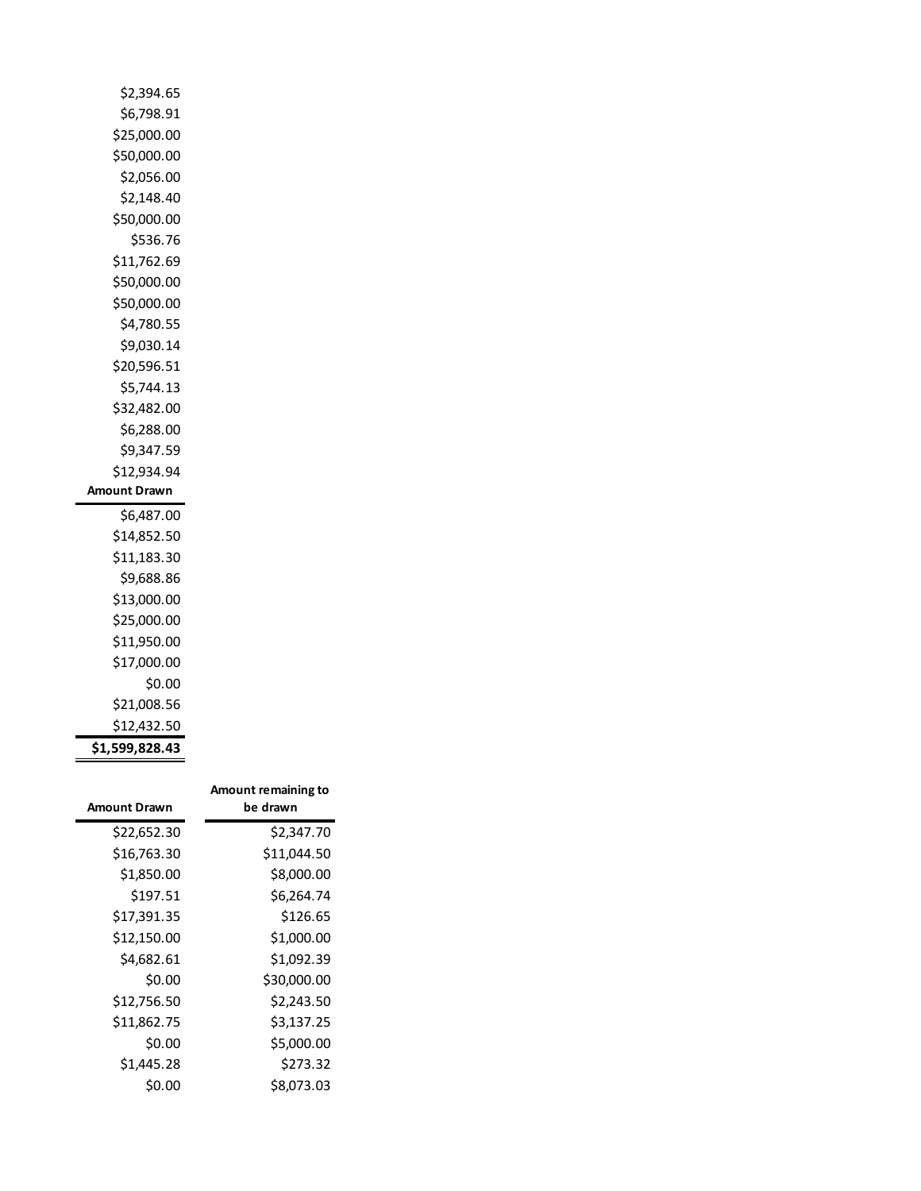| \$2,394.65     |
|----------------|
| \$6,798.91     |
| \$25,000.00    |
| \$50,000.00    |
| \$2,056.00     |
| \$2,148.40     |
| \$50,000.00    |
| \$536.76       |
| \$11,762.69    |
| \$50,000.00    |
| \$50,000.00    |
| \$4,780.55     |
| \$9,030.14     |
| \$20,596.51    |
| \$5,744.13     |
| \$32,482.00    |
| \$6,288.00     |
| \$9,347.59     |
| \$12,934.94    |
| Amount Drawn   |
| \$6,487.00     |
| \$14,852.50    |
| \$11,183.30    |
| \$9,688.86     |
| \$13,000.00    |
| \$25,000.00    |
| \$11,950.00    |
| \$17,000.00    |
| \$0.00         |
| \$21,008.56    |
| \$12,432.50    |
| \$1,599,828.43 |

| <b>Amount Drawn</b> | Amount remaining to<br>be drawn |
|---------------------|---------------------------------|
| \$22,652.30         | \$2,347.70                      |
| \$16,763.30         | \$11,044.50                     |
| \$1,850.00          | \$8,000.00                      |
| \$197.51            | \$6,264.74                      |
| \$17,391.35         | \$126.65                        |
| \$12,150.00         | \$1,000.00                      |
| \$4,682.61          | \$1,092.39                      |
| \$0.00              | \$30,000.00                     |
| \$12,756.50         | \$2,243.50                      |
| \$11,862.75         | \$3,137.25                      |
| \$0.00              | \$5,000.00                      |
| \$1,445.28          | \$273.32                        |
| \$0.00              | \$8,073.03                      |